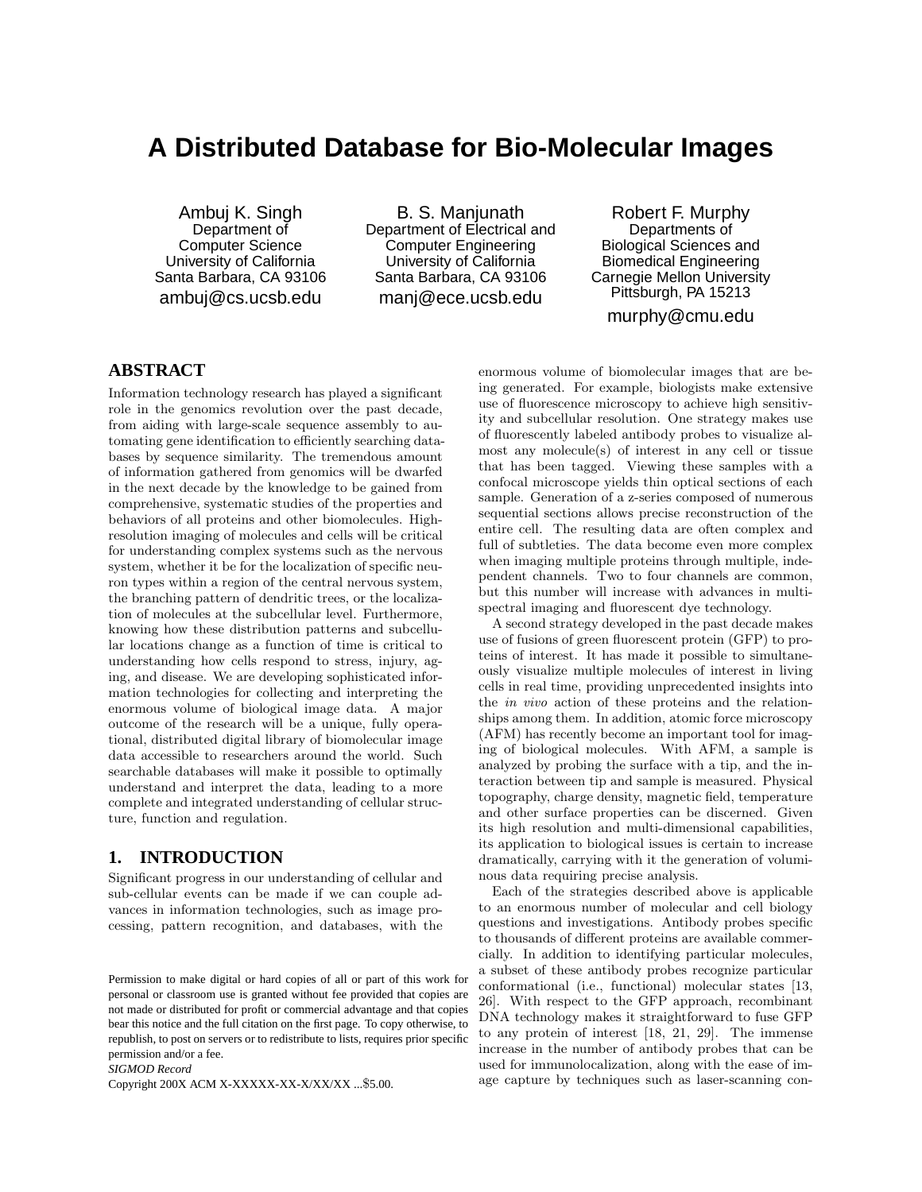# **A Distributed Database for Bio-Molecular Images**

Ambuj K. Singh Department of Computer Science University of California Santa Barbara, CA 93106 ambuj@cs.ucsb.edu

B. S. Manjunath Department of Electrical and Computer Engineering University of California Santa Barbara, CA 93106 manj@ece.ucsb.edu

Robert F. Murphy Departments of Biological Sciences and Biomedical Engineering Carnegie Mellon University Pittsburgh, PA 15213 murphy@cmu.edu

# **ABSTRACT**

Information technology research has played a significant role in the genomics revolution over the past decade, from aiding with large-scale sequence assembly to automating gene identification to efficiently searching databases by sequence similarity. The tremendous amount of information gathered from genomics will be dwarfed in the next decade by the knowledge to be gained from comprehensive, systematic studies of the properties and behaviors of all proteins and other biomolecules. Highresolution imaging of molecules and cells will be critical for understanding complex systems such as the nervous system, whether it be for the localization of specific neuron types within a region of the central nervous system, the branching pattern of dendritic trees, or the localization of molecules at the subcellular level. Furthermore, knowing how these distribution patterns and subcellular locations change as a function of time is critical to understanding how cells respond to stress, injury, aging, and disease. We are developing sophisticated information technologies for collecting and interpreting the enormous volume of biological image data. A major outcome of the research will be a unique, fully operational, distributed digital library of biomolecular image data accessible to researchers around the world. Such searchable databases will make it possible to optimally understand and interpret the data, leading to a more complete and integrated understanding of cellular structure, function and regulation.

## **1. INTRODUCTION**

Significant progress in our understanding of cellular and sub-cellular events can be made if we can couple advances in information technologies, such as image processing, pattern recognition, and databases, with the

*SIGMOD Record*

Copyright 200X ACM X-XXXXX-XX-X/XX/XX ...\$5.00.

enormous volume of biomolecular images that are being generated. For example, biologists make extensive use of fluorescence microscopy to achieve high sensitivity and subcellular resolution. One strategy makes use of fluorescently labeled antibody probes to visualize almost any molecule(s) of interest in any cell or tissue that has been tagged. Viewing these samples with a confocal microscope yields thin optical sections of each sample. Generation of a z-series composed of numerous sequential sections allows precise reconstruction of the entire cell. The resulting data are often complex and full of subtleties. The data become even more complex when imaging multiple proteins through multiple, independent channels. Two to four channels are common, but this number will increase with advances in multispectral imaging and fluorescent dye technology.

A second strategy developed in the past decade makes use of fusions of green fluorescent protein (GFP) to proteins of interest. It has made it possible to simultaneously visualize multiple molecules of interest in living cells in real time, providing unprecedented insights into the in vivo action of these proteins and the relationships among them. In addition, atomic force microscopy (AFM) has recently become an important tool for imaging of biological molecules. With AFM, a sample is analyzed by probing the surface with a tip, and the interaction between tip and sample is measured. Physical topography, charge density, magnetic field, temperature and other surface properties can be discerned. Given its high resolution and multi-dimensional capabilities, its application to biological issues is certain to increase dramatically, carrying with it the generation of voluminous data requiring precise analysis.

Each of the strategies described above is applicable to an enormous number of molecular and cell biology questions and investigations. Antibody probes specific to thousands of different proteins are available commercially. In addition to identifying particular molecules, a subset of these antibody probes recognize particular conformational (i.e., functional) molecular states [13, 26]. With respect to the GFP approach, recombinant DNA technology makes it straightforward to fuse GFP to any protein of interest [18, 21, 29]. The immense increase in the number of antibody probes that can be used for immunolocalization, along with the ease of image capture by techniques such as laser-scanning con-

Permission to make digital or hard copies of all or part of this work for personal or classroom use is granted without fee provided that copies are not made or distributed for profit or commercial advantage and that copies bear this notice and the full citation on the first page. To copy otherwise, to republish, to post on servers or to redistribute to lists, requires prior specific permission and/or a fee.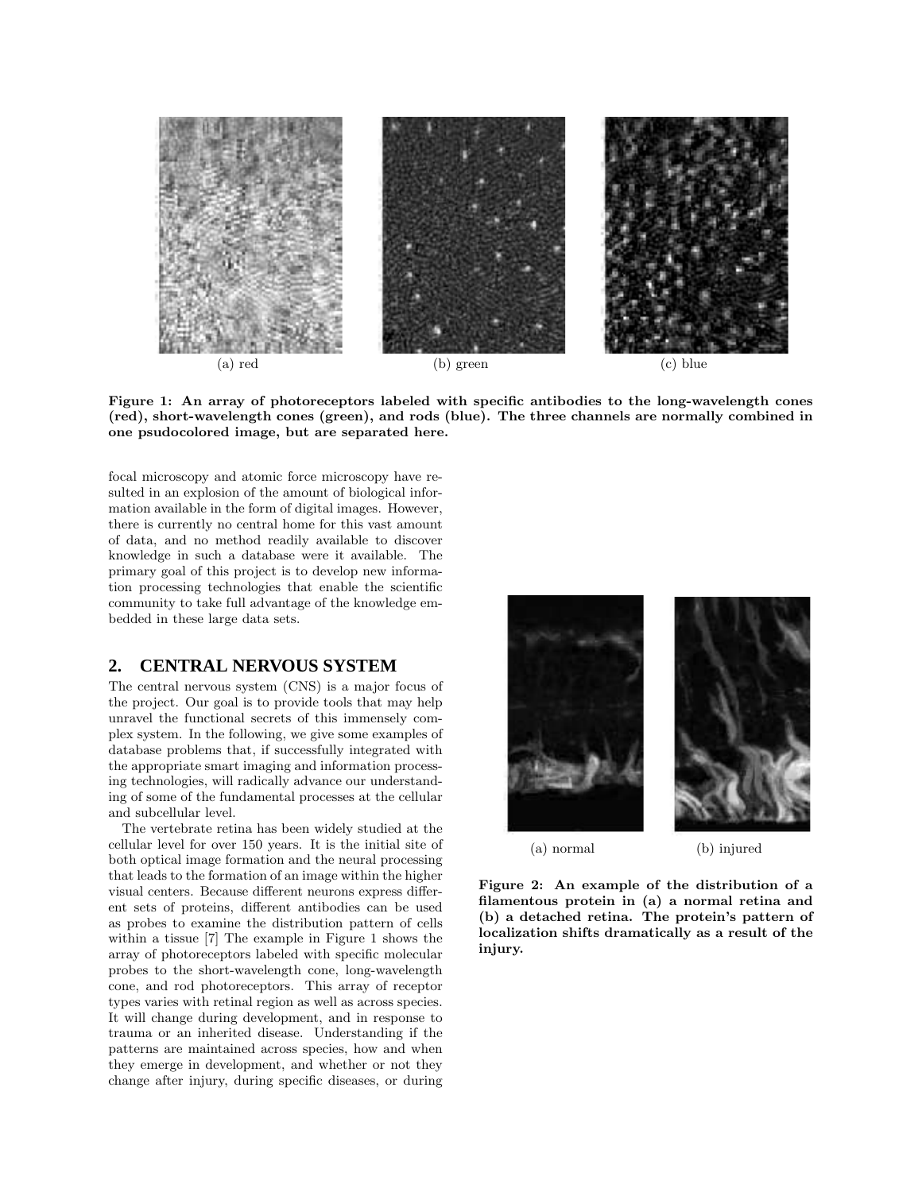

Figure 1: An array of photoreceptors labeled with specific antibodies to the long-wavelength cones (red), short-wavelength cones (green), and rods (blue). The three channels are normally combined in one psudocolored image, but are separated here.

focal microscopy and atomic force microscopy have resulted in an explosion of the amount of biological information available in the form of digital images. However, there is currently no central home for this vast amount of data, and no method readily available to discover knowledge in such a database were it available. The primary goal of this project is to develop new information processing technologies that enable the scientific community to take full advantage of the knowledge embedded in these large data sets.

## **2. CENTRAL NERVOUS SYSTEM**

The central nervous system (CNS) is a major focus of the project. Our goal is to provide tools that may help unravel the functional secrets of this immensely complex system. In the following, we give some examples of database problems that, if successfully integrated with the appropriate smart imaging and information processing technologies, will radically advance our understanding of some of the fundamental processes at the cellular and subcellular level.

The vertebrate retina has been widely studied at the cellular level for over 150 years. It is the initial site of both optical image formation and the neural processing that leads to the formation of an image within the higher visual centers. Because different neurons express different sets of proteins, different antibodies can be used as probes to examine the distribution pattern of cells within a tissue [7] The example in Figure 1 shows the array of photoreceptors labeled with specific molecular probes to the short-wavelength cone, long-wavelength cone, and rod photoreceptors. This array of receptor types varies with retinal region as well as across species. It will change during development, and in response to trauma or an inherited disease. Understanding if the patterns are maintained across species, how and when they emerge in development, and whether or not they change after injury, during specific diseases, or during



Figure 2: An example of the distribution of a filamentous protein in (a) a normal retina and (b) a detached retina. The protein's pattern of localization shifts dramatically as a result of the injury.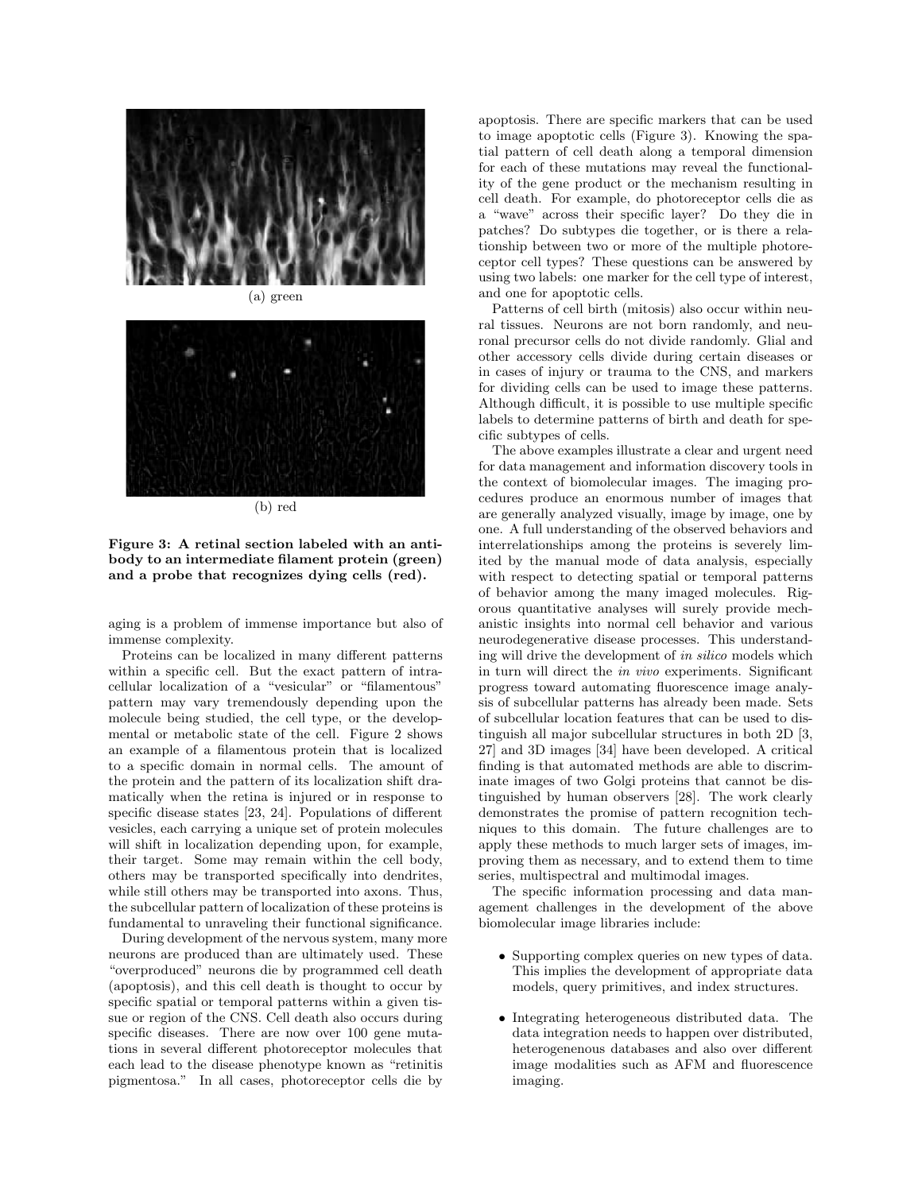



(b) red

Figure 3: A retinal section labeled with an antibody to an intermediate filament protein (green) and a probe that recognizes dying cells (red).

aging is a problem of immense importance but also of immense complexity.

Proteins can be localized in many different patterns within a specific cell. But the exact pattern of intracellular localization of a "vesicular" or "filamentous" pattern may vary tremendously depending upon the molecule being studied, the cell type, or the developmental or metabolic state of the cell. Figure 2 shows an example of a filamentous protein that is localized to a specific domain in normal cells. The amount of the protein and the pattern of its localization shift dramatically when the retina is injured or in response to specific disease states [23, 24]. Populations of different vesicles, each carrying a unique set of protein molecules will shift in localization depending upon, for example, their target. Some may remain within the cell body, others may be transported specifically into dendrites, while still others may be transported into axons. Thus, the subcellular pattern of localization of these proteins is fundamental to unraveling their functional significance.

During development of the nervous system, many more neurons are produced than are ultimately used. These "overproduced" neurons die by programmed cell death (apoptosis), and this cell death is thought to occur by specific spatial or temporal patterns within a given tissue or region of the CNS. Cell death also occurs during specific diseases. There are now over 100 gene mutations in several different photoreceptor molecules that each lead to the disease phenotype known as "retinitis pigmentosa." In all cases, photoreceptor cells die by

apoptosis. There are specific markers that can be used to image apoptotic cells (Figure 3). Knowing the spatial pattern of cell death along a temporal dimension for each of these mutations may reveal the functionality of the gene product or the mechanism resulting in cell death. For example, do photoreceptor cells die as a "wave" across their specific layer? Do they die in patches? Do subtypes die together, or is there a relationship between two or more of the multiple photoreceptor cell types? These questions can be answered by using two labels: one marker for the cell type of interest, and one for apoptotic cells.

Patterns of cell birth (mitosis) also occur within neural tissues. Neurons are not born randomly, and neuronal precursor cells do not divide randomly. Glial and other accessory cells divide during certain diseases or in cases of injury or trauma to the CNS, and markers for dividing cells can be used to image these patterns. Although difficult, it is possible to use multiple specific labels to determine patterns of birth and death for specific subtypes of cells.

The above examples illustrate a clear and urgent need for data management and information discovery tools in the context of biomolecular images. The imaging procedures produce an enormous number of images that are generally analyzed visually, image by image, one by one. A full understanding of the observed behaviors and interrelationships among the proteins is severely limited by the manual mode of data analysis, especially with respect to detecting spatial or temporal patterns of behavior among the many imaged molecules. Rigorous quantitative analyses will surely provide mechanistic insights into normal cell behavior and various neurodegenerative disease processes. This understanding will drive the development of in silico models which in turn will direct the in vivo experiments. Significant progress toward automating fluorescence image analysis of subcellular patterns has already been made. Sets of subcellular location features that can be used to distinguish all major subcellular structures in both 2D [3, 27] and 3D images [34] have been developed. A critical finding is that automated methods are able to discriminate images of two Golgi proteins that cannot be distinguished by human observers [28]. The work clearly demonstrates the promise of pattern recognition techniques to this domain. The future challenges are to apply these methods to much larger sets of images, improving them as necessary, and to extend them to time series, multispectral and multimodal images.

The specific information processing and data management challenges in the development of the above biomolecular image libraries include:

- Supporting complex queries on new types of data. This implies the development of appropriate data models, query primitives, and index structures.
- Integrating heterogeneous distributed data. The data integration needs to happen over distributed, heterogenenous databases and also over different image modalities such as AFM and fluorescence imaging.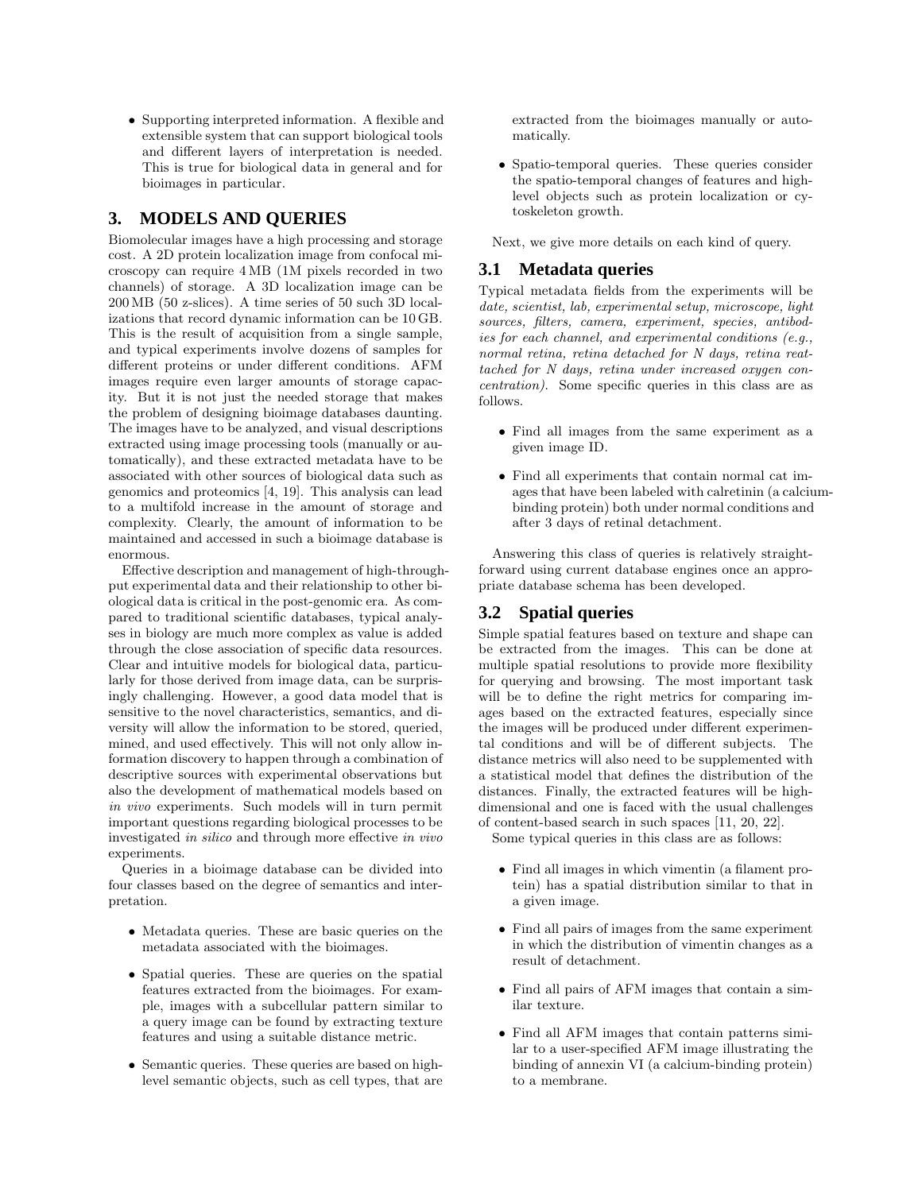• Supporting interpreted information. A flexible and extensible system that can support biological tools and different layers of interpretation is needed. This is true for biological data in general and for bioimages in particular.

## **3. MODELS AND QUERIES**

Biomolecular images have a high processing and storage cost. A 2D protein localization image from confocal microscopy can require 4 MB (1M pixels recorded in two channels) of storage. A 3D localization image can be 200 MB (50 z-slices). A time series of 50 such 3D localizations that record dynamic information can be 10 GB. This is the result of acquisition from a single sample, and typical experiments involve dozens of samples for different proteins or under different conditions. AFM images require even larger amounts of storage capacity. But it is not just the needed storage that makes the problem of designing bioimage databases daunting. The images have to be analyzed, and visual descriptions extracted using image processing tools (manually or automatically), and these extracted metadata have to be associated with other sources of biological data such as genomics and proteomics [4, 19]. This analysis can lead to a multifold increase in the amount of storage and complexity. Clearly, the amount of information to be maintained and accessed in such a bioimage database is enormous.

Effective description and management of high-throughput experimental data and their relationship to other biological data is critical in the post-genomic era. As compared to traditional scientific databases, typical analyses in biology are much more complex as value is added through the close association of specific data resources. Clear and intuitive models for biological data, particularly for those derived from image data, can be surprisingly challenging. However, a good data model that is sensitive to the novel characteristics, semantics, and diversity will allow the information to be stored, queried, mined, and used effectively. This will not only allow information discovery to happen through a combination of descriptive sources with experimental observations but also the development of mathematical models based on in vivo experiments. Such models will in turn permit important questions regarding biological processes to be investigated in silico and through more effective in vivo experiments.

Queries in a bioimage database can be divided into four classes based on the degree of semantics and interpretation.

- Metadata queries. These are basic queries on the metadata associated with the bioimages.
- Spatial queries. These are queries on the spatial features extracted from the bioimages. For example, images with a subcellular pattern similar to a query image can be found by extracting texture features and using a suitable distance metric.
- Semantic queries. These queries are based on highlevel semantic objects, such as cell types, that are

extracted from the bioimages manually or automatically.

• Spatio-temporal queries. These queries consider the spatio-temporal changes of features and highlevel objects such as protein localization or cytoskeleton growth.

Next, we give more details on each kind of query.

#### **3.1 Metadata queries**

Typical metadata fields from the experiments will be date, scientist, lab, experimental setup, microscope, light sources, filters, camera, experiment, species, antibodies for each channel, and experimental conditions (e.g., normal retina, retina detached for N days, retina reattached for N days, retina under increased oxygen concentration). Some specific queries in this class are as follows.

- Find all images from the same experiment as a given image ID.
- Find all experiments that contain normal cat images that have been labeled with calretinin (a calciumbinding protein) both under normal conditions and after 3 days of retinal detachment.

Answering this class of queries is relatively straightforward using current database engines once an appropriate database schema has been developed.

#### **3.2 Spatial queries**

Simple spatial features based on texture and shape can be extracted from the images. This can be done at multiple spatial resolutions to provide more flexibility for querying and browsing. The most important task will be to define the right metrics for comparing images based on the extracted features, especially since the images will be produced under different experimental conditions and will be of different subjects. The distance metrics will also need to be supplemented with a statistical model that defines the distribution of the distances. Finally, the extracted features will be highdimensional and one is faced with the usual challenges of content-based search in such spaces [11, 20, 22].

Some typical queries in this class are as follows:

- Find all images in which vimentin (a filament protein) has a spatial distribution similar to that in a given image.
- Find all pairs of images from the same experiment in which the distribution of vimentin changes as a result of detachment.
- Find all pairs of AFM images that contain a similar texture.
- Find all AFM images that contain patterns similar to a user-specified AFM image illustrating the binding of annexin VI (a calcium-binding protein) to a membrane.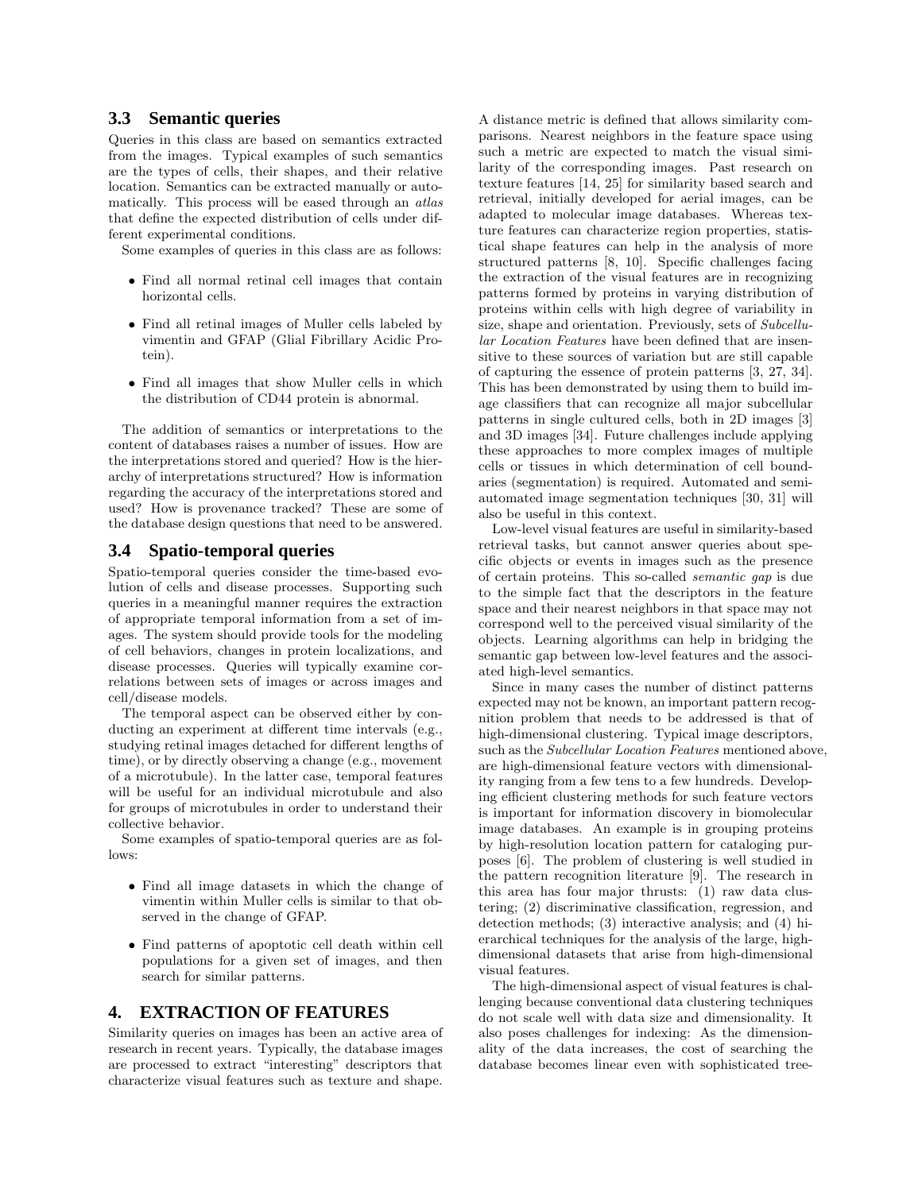## **3.3 Semantic queries**

Queries in this class are based on semantics extracted from the images. Typical examples of such semantics are the types of cells, their shapes, and their relative location. Semantics can be extracted manually or automatically. This process will be eased through an atlas that define the expected distribution of cells under different experimental conditions.

Some examples of queries in this class are as follows:

- Find all normal retinal cell images that contain horizontal cells.
- Find all retinal images of Muller cells labeled by vimentin and GFAP (Glial Fibrillary Acidic Protein).
- Find all images that show Muller cells in which the distribution of CD44 protein is abnormal.

The addition of semantics or interpretations to the content of databases raises a number of issues. How are the interpretations stored and queried? How is the hierarchy of interpretations structured? How is information regarding the accuracy of the interpretations stored and used? How is provenance tracked? These are some of the database design questions that need to be answered.

#### **3.4 Spatio-temporal queries**

Spatio-temporal queries consider the time-based evolution of cells and disease processes. Supporting such queries in a meaningful manner requires the extraction of appropriate temporal information from a set of images. The system should provide tools for the modeling of cell behaviors, changes in protein localizations, and disease processes. Queries will typically examine correlations between sets of images or across images and cell/disease models.

The temporal aspect can be observed either by conducting an experiment at different time intervals (e.g., studying retinal images detached for different lengths of time), or by directly observing a change (e.g., movement of a microtubule). In the latter case, temporal features will be useful for an individual microtubule and also for groups of microtubules in order to understand their collective behavior.

Some examples of spatio-temporal queries are as follows:

- Find all image datasets in which the change of vimentin within Muller cells is similar to that observed in the change of GFAP.
- Find patterns of apoptotic cell death within cell populations for a given set of images, and then search for similar patterns.

#### **4. EXTRACTION OF FEATURES**

Similarity queries on images has been an active area of research in recent years. Typically, the database images are processed to extract "interesting" descriptors that characterize visual features such as texture and shape.

A distance metric is defined that allows similarity comparisons. Nearest neighbors in the feature space using such a metric are expected to match the visual similarity of the corresponding images. Past research on texture features [14, 25] for similarity based search and retrieval, initially developed for aerial images, can be adapted to molecular image databases. Whereas texture features can characterize region properties, statistical shape features can help in the analysis of more structured patterns [8, 10]. Specific challenges facing the extraction of the visual features are in recognizing patterns formed by proteins in varying distribution of proteins within cells with high degree of variability in size, shape and orientation. Previously, sets of Subcellular Location Features have been defined that are insensitive to these sources of variation but are still capable of capturing the essence of protein patterns [3, 27, 34]. This has been demonstrated by using them to build image classifiers that can recognize all major subcellular patterns in single cultured cells, both in 2D images [3] and 3D images [34]. Future challenges include applying these approaches to more complex images of multiple cells or tissues in which determination of cell boundaries (segmentation) is required. Automated and semiautomated image segmentation techniques [30, 31] will also be useful in this context.

Low-level visual features are useful in similarity-based retrieval tasks, but cannot answer queries about specific objects or events in images such as the presence of certain proteins. This so-called semantic gap is due to the simple fact that the descriptors in the feature space and their nearest neighbors in that space may not correspond well to the perceived visual similarity of the objects. Learning algorithms can help in bridging the semantic gap between low-level features and the associated high-level semantics.

Since in many cases the number of distinct patterns expected may not be known, an important pattern recognition problem that needs to be addressed is that of high-dimensional clustering. Typical image descriptors, such as the Subcellular Location Features mentioned above, are high-dimensional feature vectors with dimensionality ranging from a few tens to a few hundreds. Developing efficient clustering methods for such feature vectors is important for information discovery in biomolecular image databases. An example is in grouping proteins by high-resolution location pattern for cataloging purposes [6]. The problem of clustering is well studied in the pattern recognition literature [9]. The research in this area has four major thrusts: (1) raw data clustering; (2) discriminative classification, regression, and detection methods; (3) interactive analysis; and (4) hierarchical techniques for the analysis of the large, highdimensional datasets that arise from high-dimensional visual features.

The high-dimensional aspect of visual features is challenging because conventional data clustering techniques do not scale well with data size and dimensionality. It also poses challenges for indexing: As the dimensionality of the data increases, the cost of searching the database becomes linear even with sophisticated tree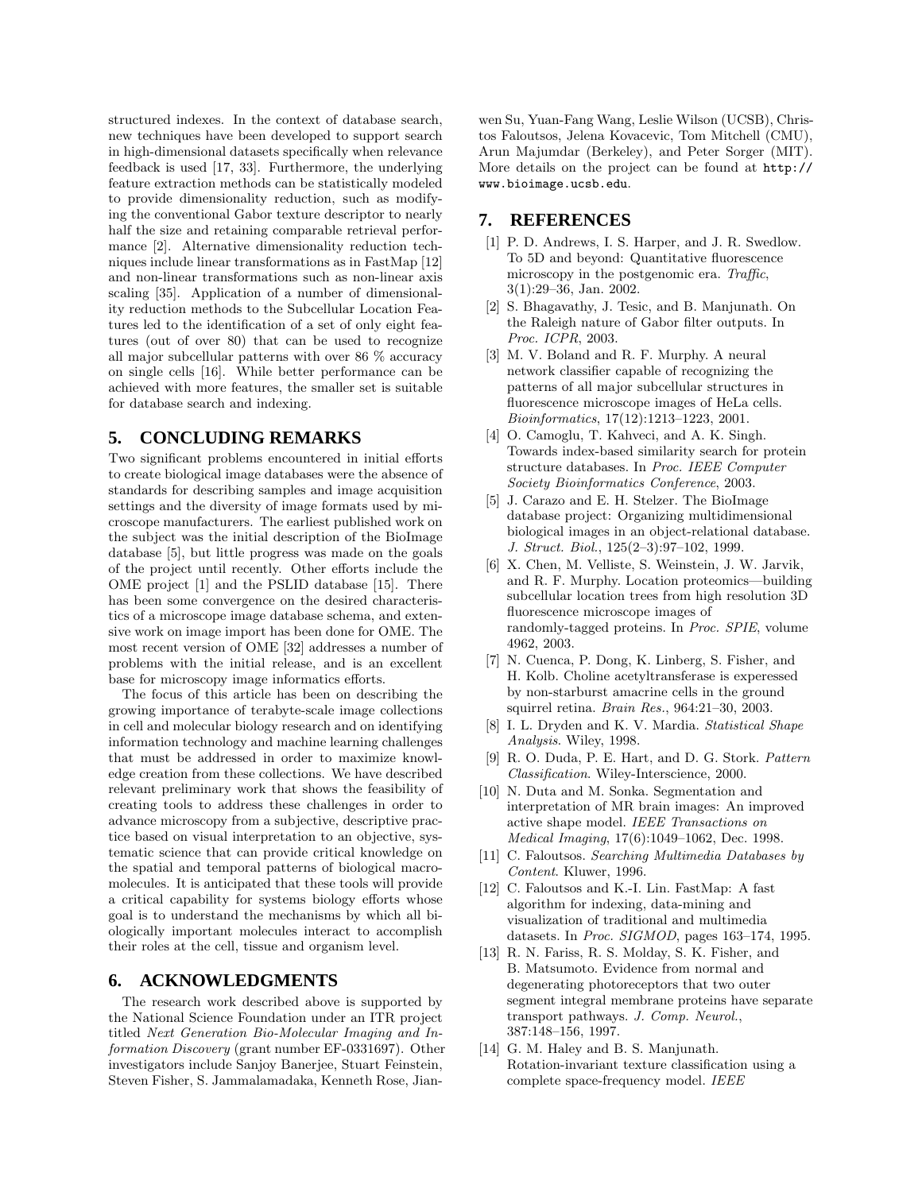structured indexes. In the context of database search, new techniques have been developed to support search in high-dimensional datasets specifically when relevance feedback is used [17, 33]. Furthermore, the underlying feature extraction methods can be statistically modeled to provide dimensionality reduction, such as modifying the conventional Gabor texture descriptor to nearly half the size and retaining comparable retrieval performance [2]. Alternative dimensionality reduction techniques include linear transformations as in FastMap [12] and non-linear transformations such as non-linear axis scaling [35]. Application of a number of dimensionality reduction methods to the Subcellular Location Features led to the identification of a set of only eight features (out of over 80) that can be used to recognize all major subcellular patterns with over 86 % accuracy on single cells [16]. While better performance can be achieved with more features, the smaller set is suitable for database search and indexing.

## **5. CONCLUDING REMARKS**

Two significant problems encountered in initial efforts to create biological image databases were the absence of standards for describing samples and image acquisition settings and the diversity of image formats used by microscope manufacturers. The earliest published work on the subject was the initial description of the BioImage database [5], but little progress was made on the goals of the project until recently. Other efforts include the OME project [1] and the PSLID database [15]. There has been some convergence on the desired characteristics of a microscope image database schema, and extensive work on image import has been done for OME. The most recent version of OME [32] addresses a number of problems with the initial release, and is an excellent base for microscopy image informatics efforts.

The focus of this article has been on describing the growing importance of terabyte-scale image collections in cell and molecular biology research and on identifying information technology and machine learning challenges that must be addressed in order to maximize knowledge creation from these collections. We have described relevant preliminary work that shows the feasibility of creating tools to address these challenges in order to advance microscopy from a subjective, descriptive practice based on visual interpretation to an objective, systematic science that can provide critical knowledge on the spatial and temporal patterns of biological macromolecules. It is anticipated that these tools will provide a critical capability for systems biology efforts whose goal is to understand the mechanisms by which all biologically important molecules interact to accomplish their roles at the cell, tissue and organism level.

## **6. ACKNOWLEDGMENTS**

The research work described above is supported by the National Science Foundation under an ITR project titled Next Generation Bio-Molecular Imaging and Information Discovery (grant number EF-0331697). Other investigators include Sanjoy Banerjee, Stuart Feinstein, Steven Fisher, S. Jammalamadaka, Kenneth Rose, Jian-

wen Su, Yuan-Fang Wang, Leslie Wilson (UCSB), Christos Faloutsos, Jelena Kovacevic, Tom Mitchell (CMU), Arun Majumdar (Berkeley), and Peter Sorger (MIT). More details on the project can be found at http:// www.bioimage.ucsb.edu.

## **7. REFERENCES**

- [1] P. D. Andrews, I. S. Harper, and J. R. Swedlow. To 5D and beyond: Quantitative fluorescence microscopy in the postgenomic era. Traffic, 3(1):29–36, Jan. 2002.
- [2] S. Bhagavathy, J. Tesic, and B. Manjunath. On the Raleigh nature of Gabor filter outputs. In Proc. ICPR, 2003.
- [3] M. V. Boland and R. F. Murphy. A neural network classifier capable of recognizing the patterns of all major subcellular structures in fluorescence microscope images of HeLa cells. Bioinformatics, 17(12):1213–1223, 2001.
- [4] O. Camoglu, T. Kahveci, and A. K. Singh. Towards index-based similarity search for protein structure databases. In Proc. IEEE Computer Society Bioinformatics Conference, 2003.
- [5] J. Carazo and E. H. Stelzer. The BioImage database project: Organizing multidimensional biological images in an object-relational database. J. Struct. Biol., 125(2–3):97–102, 1999.
- [6] X. Chen, M. Velliste, S. Weinstein, J. W. Jarvik, and R. F. Murphy. Location proteomics—building subcellular location trees from high resolution 3D fluorescence microscope images of randomly-tagged proteins. In Proc. SPIE, volume 4962, 2003.
- [7] N. Cuenca, P. Dong, K. Linberg, S. Fisher, and H. Kolb. Choline acetyltransferase is experessed by non-starburst amacrine cells in the ground squirrel retina. Brain Res., 964:21–30, 2003.
- [8] I. L. Dryden and K. V. Mardia. Statistical Shape Analysis. Wiley, 1998.
- [9] R. O. Duda, P. E. Hart, and D. G. Stork. Pattern Classification. Wiley-Interscience, 2000.
- [10] N. Duta and M. Sonka. Segmentation and interpretation of MR brain images: An improved active shape model. IEEE Transactions on Medical Imaging, 17(6):1049–1062, Dec. 1998.
- [11] C. Faloutsos. Searching Multimedia Databases by Content. Kluwer, 1996.
- [12] C. Faloutsos and K.-I. Lin. FastMap: A fast algorithm for indexing, data-mining and visualization of traditional and multimedia datasets. In Proc. SIGMOD, pages 163–174, 1995.
- [13] R. N. Fariss, R. S. Molday, S. K. Fisher, and B. Matsumoto. Evidence from normal and degenerating photoreceptors that two outer segment integral membrane proteins have separate transport pathways. J. Comp. Neurol., 387:148–156, 1997.
- [14] G. M. Haley and B. S. Manjunath. Rotation-invariant texture classification using a complete space-frequency model. IEEE